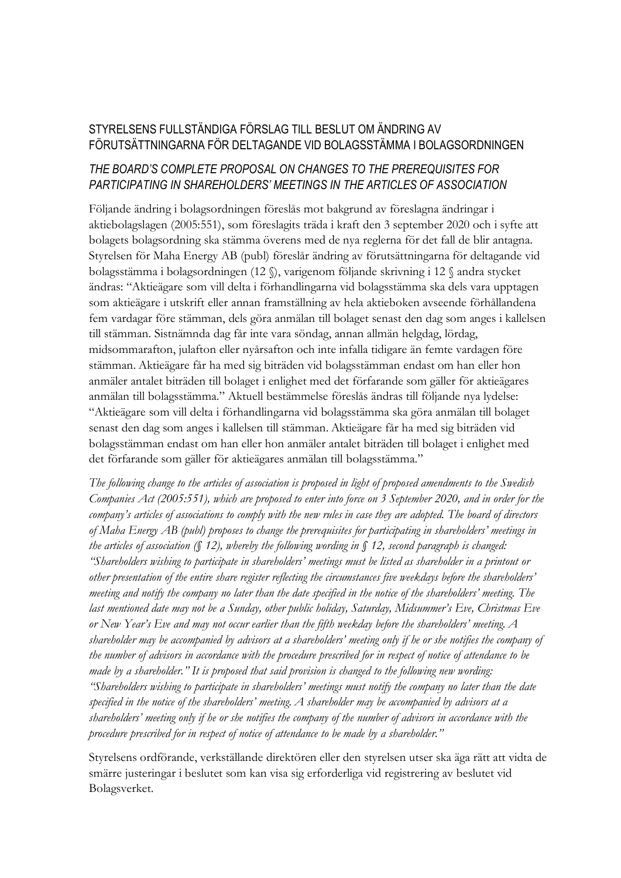## STYRELSENS FULLSTÄNDIGA FÖRSLAG TILL BESLUT OM ÄNDRING AV FÖRUTSÄTTNINGARNA FÖR DELTAGANDE VID BOLAGSSTÄMMA I BOLAGSORDNINGEN

## *THE BOARD'S COMPLETE PROPOSAL ON CHANGES TO THE PREREQUISITES FOR PARTICIPATING IN SHAREHOLDERS' MEETINGS IN THE ARTICLES OF ASSOCIATION*

Följande ändring i bolagsordningen föreslås mot bakgrund av föreslagna ändringar i aktiebolagslagen (2005:551), som föreslagits träda i kraft den 3 september 2020 och i syfte att bolagets bolagsordning ska stämma överens med de nya reglerna för det fall de blir antagna. Styrelsen för Maha Energy AB (publ) föreslår ändring av förutsättningarna för deltagande vid bolagsstämma i bolagsordningen (12 §), varigenom följande skrivning i 12 § andra stycket ändras: "Aktieägare som vill delta i förhandlingarna vid bolagsstämma ska dels vara upptagen som aktieägare i utskrift eller annan framställning av hela aktieboken avseende förhållandena fem vardagar före stämman, dels göra anmälan till bolaget senast den dag som anges i kallelsen till stämman. Sistnämnda dag får inte vara söndag, annan allmän helgdag, lördag, midsommarafton, julafton eller nyårsafton och inte infalla tidigare än femte vardagen före stämman. Aktieägare får ha med sig biträden vid bolagsstämman endast om han eller hon anmäler antalet biträden till bolaget i enlighet med det förfarande som gäller för aktieägares anmälan till bolagsstämma." Aktuell bestämmelse föreslås ändras till följande nya lydelse: "Aktieägare som vill delta i förhandlingarna vid bolagsstämma ska göra anmälan till bolaget senast den dag som anges i kallelsen till stämman. Aktieägare får ha med sig biträden vid bolagsstämman endast om han eller hon anmäler antalet biträden till bolaget i enlighet med det förfarande som gäller för aktieägares anmälan till bolagsstämma."

*The following change to the articles of association is proposed in light of proposed amendments to the Swedish Companies Act (2005:551), which are proposed to enter into force on 3 September 2020, and in order for the company's articles of associations to comply with the new rules in case they are adopted. The board of directors of Maha Energy AB (publ) proposes to change the prerequisites for participating in shareholders' meetings in the articles of association (§ 12), whereby the following wording in § 12, second paragraph is changed: "Shareholders wishing to participate in shareholders' meetings must be listed as shareholder in a printout or other presentation of the entire share register reflecting the circumstances five weekdays before the shareholders' meeting and notify the company no later than the date specified in the notice of the shareholders' meeting. The last mentioned date may not be a Sunday, other public holiday, Saturday, Midsummer's Eve, Christmas Eve or New Year's Eve and may not occur earlier than the fifth weekday before the shareholders' meeting. A shareholder may be accompanied by advisors at a shareholders' meeting only if he or she notifies the company of the number of advisors in accordance with the procedure prescribed for in respect of notice of attendance to be made by a shareholder." It is proposed that said provision is changed to the following new wording: "Shareholders wishing to participate in shareholders' meetings must notify the company no later than the date specified in the notice of the shareholders' meeting. A shareholder may be accompanied by advisors at a shareholders' meeting only if he or she notifies the company of the number of advisors in accordance with the procedure prescribed for in respect of notice of attendance to be made by a shareholder."*

Styrelsens ordförande, verkställande direktören eller den styrelsen utser ska äga rätt att vidta de smärre justeringar i beslutet som kan visa sig erforderliga vid registrering av beslutet vid Bolagsverket.